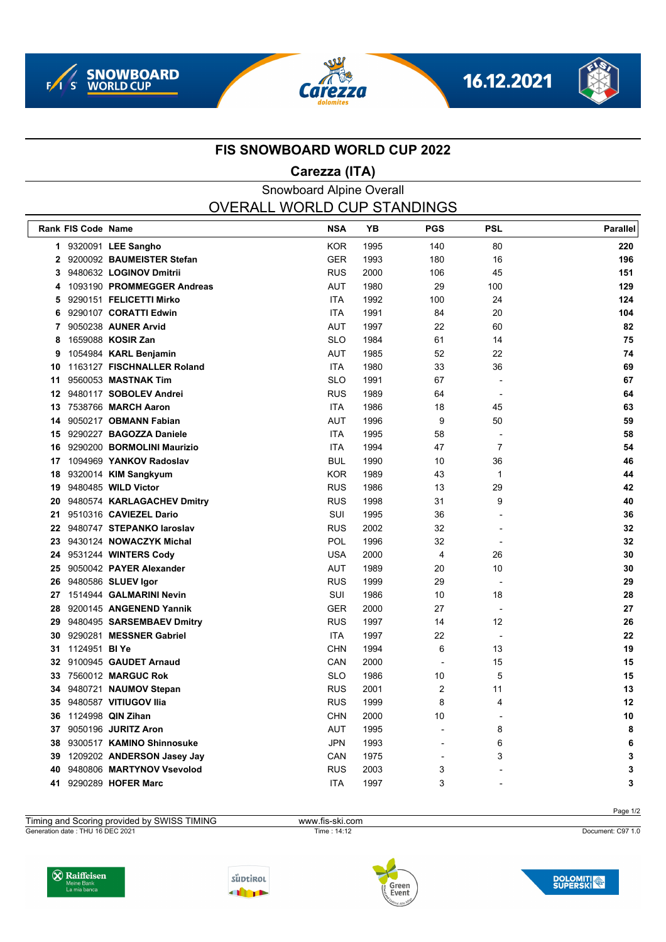







#### **FIS SNOWBOARD WORLD CUP 2022**

## **Carezza (ITA)**

### Snowboard Alpine Overall OVERALL WORLD CUP STANDINGS

|              | Rank FIS Code Name   |                              | <b>NSA</b> | <b>YB</b> | <b>PGS</b>     | <b>PSL</b>     | <b>Parallel</b> |
|--------------|----------------------|------------------------------|------------|-----------|----------------|----------------|-----------------|
|              |                      | 1 9320091 LEE Sangho         | <b>KOR</b> | 1995      | 140            | 80             | 220             |
| $\mathbf{2}$ |                      | 9200092 BAUMEISTER Stefan    | <b>GER</b> | 1993      | 180            | 16             | 196             |
| 3            |                      | 9480632 LOGINOV Dmitrii      | <b>RUS</b> | 2000      | 106            | 45             | 151             |
| 4            |                      | 1093190 PROMMEGGER Andreas   | <b>AUT</b> | 1980      | 29             | 100            | 129             |
| 5            |                      | 9290151 FELICETTI Mirko      | <b>ITA</b> | 1992      | 100            | 24             | 124             |
| 6            |                      | 9290107 CORATTI Edwin        | <b>ITA</b> | 1991      | 84             | 20             | 104             |
| 7            |                      | 9050238 AUNER Arvid          | <b>AUT</b> | 1997      | 22             | 60             | 82              |
| 8            |                      | 1659088 KOSIR Zan            | <b>SLO</b> | 1984      | 61             | 14             | 75              |
| 9            |                      | 1054984 KARL Benjamin        | <b>AUT</b> | 1985      | 52             | 22             | 74              |
| 10           |                      | 1163127 FISCHNALLER Roland   | <b>ITA</b> | 1980      | 33             | 36             | 69              |
| 11           |                      | 9560053 MASTNAK Tim          | <b>SLO</b> | 1991      | 67             |                | 67              |
| 12           |                      | 9480117 SOBOLEV Andrei       | <b>RUS</b> | 1989      | 64             |                | 64              |
| 13           |                      | 7538766 MARCH Aaron          | <b>ITA</b> | 1986      | 18             | 45             | 63              |
| 14           |                      | 9050217 OBMANN Fabian        | <b>AUT</b> | 1996      | 9              | 50             | 59              |
| 15           |                      | 9290227 BAGOZZA Daniele      | <b>ITA</b> | 1995      | 58             |                | 58              |
| 16           |                      | 9290200 BORMOLINI Maurizio   | <b>ITA</b> | 1994      | 47             | $\overline{7}$ | 54              |
| 17           |                      | 1094969 YANKOV Radoslav      | <b>BUL</b> | 1990      | 10             | 36             | 46              |
| 18           |                      | 9320014 KIM Sangkyum         | <b>KOR</b> | 1989      | 43             | $\mathbf{1}$   | 44              |
| 19           |                      | 9480485 WILD Victor          | <b>RUS</b> | 1986      | 13             | 29             | 42              |
| 20           |                      | 9480574 KARLAGACHEV Dmitry   | <b>RUS</b> | 1998      | 31             | 9              | 40              |
| 21           |                      | 9510316 CAVIEZEL Dario       | SUI        | 1995      | 36             |                | 36              |
| 22           |                      | 9480747 STEPANKO laroslav    | <b>RUS</b> | 2002      | 32             |                | 32              |
| 23           |                      | 9430124 NOWACZYK Michal      | POL        | 1996      | 32             |                | 32              |
|              |                      | 24 9531244 WINTERS Cody      | <b>USA</b> | 2000      | 4              | 26             | 30              |
| 25           |                      | 9050042 PAYER Alexander      | <b>AUT</b> | 1989      | 20             | 10             | 30              |
| 26           |                      | 9480586 SLUEV Igor           | <b>RUS</b> | 1999      | 29             |                | 29              |
|              |                      | 27 1514944 GALMARINI Nevin   | SUI        | 1986      | 10             | 18             | 28              |
| 28           |                      | 9200145 ANGENEND Yannik      | <b>GER</b> | 2000      | 27             |                | 27              |
|              |                      | 29 9480495 SARSEMBAEV Dmitry | <b>RUS</b> | 1997      | 14             | 12             | 26              |
| 30           |                      | 9290281 MESSNER Gabriel      | <b>ITA</b> | 1997      | 22             |                | 22              |
| 31           | 1124951 <b>BI Ye</b> |                              | <b>CHN</b> | 1994      | 6              | 13             | 19              |
| 32           |                      | 9100945 GAUDET Arnaud        | CAN        | 2000      |                | 15             | 15              |
| 33           |                      | 7560012 MARGUC Rok           | <b>SLO</b> | 1986      | 10             | 5              | 15              |
| 34           |                      | 9480721 NAUMOV Stepan        | <b>RUS</b> | 2001      | $\overline{2}$ | 11             | 13              |
| 35           |                      | 9480587 VITIUGOV IIIa        | <b>RUS</b> | 1999      | 8              | 4              | 12              |
| 36           |                      | 1124998 QIN Zihan            | <b>CHN</b> | 2000      | 10             |                | 10              |
| 37           |                      | 9050196 JURITZ Aron          | <b>AUT</b> | 1995      |                | 8              | 8               |
| 38           |                      | 9300517 KAMINO Shinnosuke    | <b>JPN</b> | 1993      |                | 6              | 6               |
| 39           |                      | 1209202 ANDERSON Jasey Jay   | CAN        | 1975      |                | 3              | 3               |
| 40           |                      | 9480806 MARTYNOV Vsevolod    | <b>RUS</b> | 2003      | 3              |                | 3               |
| 41           |                      | 9290289 HOFER Marc           | <b>ITA</b> | 1997      | 3              |                | 3               |
|              |                      |                              |            |           |                |                |                 |

Page 1/2